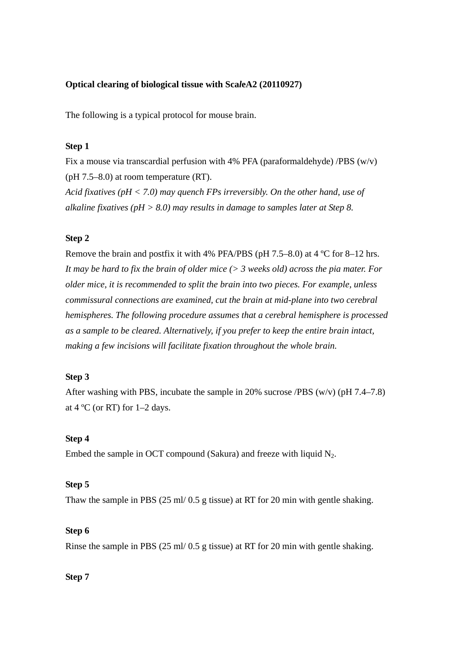# **Optical clearing of biological tissue with Sca***l***eA2 (20110927)**

The following is a typical protocol for mouse brain.

# **Step 1**

Fix a mouse via transcardial perfusion with 4% PFA (paraformaldehyde) /PBS  $(w/v)$ (pH 7.5–8.0) at room temperature (RT). *Acid fixatives (pH < 7.0) may quench FPs irreversibly. On the other hand, use of* 

*alkaline fixatives (pH > 8.0) may results in damage to samples later at Step 8.* 

### **Step 2**

Remove the brain and postfix it with 4% PFA/PBS (pH 7.5–8.0) at 4 ºC for 8–12 hrs. *It may be hard to fix the brain of older mice (> 3 weeks old) across the pia mater. For older mice, it is recommended to split the brain into two pieces. For example, unless commissural connections are examined, cut the brain at mid-plane into two cerebral hemispheres. The following procedure assumes that a cerebral hemisphere is processed as a sample to be cleared. Alternatively, if you prefer to keep the entire brain intact, making a few incisions will facilitate fixation throughout the whole brain.* 

# **Step 3**

After washing with PBS, incubate the sample in 20% sucrose /PBS (w/v) (pH 7.4–7.8) at  $4^{\circ}$ C (or RT) for 1–2 days.

### **Step 4**

Embed the sample in OCT compound (Sakura) and freeze with liquid  $N_2$ .

#### **Step 5**

Thaw the sample in PBS (25 ml/ 0.5 g tissue) at RT for 20 min with gentle shaking.

### **Step 6**

Rinse the sample in PBS (25 ml/ 0.5 g tissue) at RT for 20 min with gentle shaking.

### **Step 7**